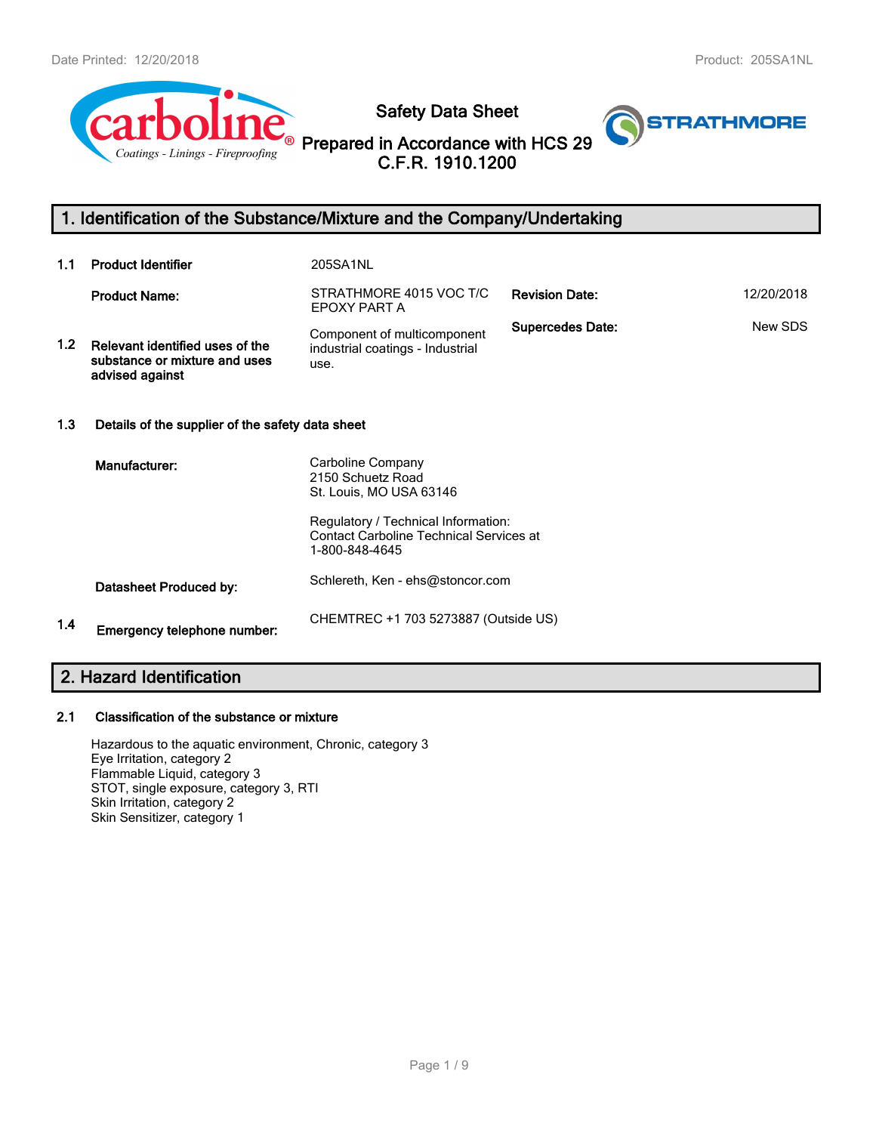

**Safety Data Sheet**

**Prepared in Accordance with HCS 29 C.F.R. 1910.1200**



# **1. Identification of the Substance/Mixture and the Company/Undertaking**

| 1.1              | <b>Product Identifier</b>                                                           | 205SA1NL                                                                                                |                         |            |
|------------------|-------------------------------------------------------------------------------------|---------------------------------------------------------------------------------------------------------|-------------------------|------------|
|                  | <b>Product Name:</b>                                                                | STRATHMORE 4015 VOC T/C<br>EPOXY PART A                                                                 | <b>Revision Date:</b>   | 12/20/2018 |
| 1.2 <sub>1</sub> | Relevant identified uses of the<br>substance or mixture and uses<br>advised against | Component of multicomponent<br>industrial coatings - Industrial<br>use.                                 | <b>Supercedes Date:</b> | New SDS    |
| 1.3              | Details of the supplier of the safety data sheet                                    |                                                                                                         |                         |            |
|                  | Manufacturer:                                                                       | Carboline Company<br>2150 Schuetz Road<br>St. Louis, MO USA 63146                                       |                         |            |
|                  |                                                                                     | Regulatory / Technical Information:<br><b>Contact Carboline Technical Services at</b><br>1-800-848-4645 |                         |            |
|                  | Datasheet Produced by:                                                              | Schlereth, Ken - ehs@stoncor.com                                                                        |                         |            |
| 1.4              | Emergency telephone number:                                                         | CHEMTREC +1 703 5273887 (Outside US)                                                                    |                         |            |

# **2. Hazard Identification**

# **2.1 Classification of the substance or mixture**

Hazardous to the aquatic environment, Chronic, category 3 Eye Irritation, category 2 Flammable Liquid, category 3 STOT, single exposure, category 3, RTI Skin Irritation, category 2 Skin Sensitizer, category 1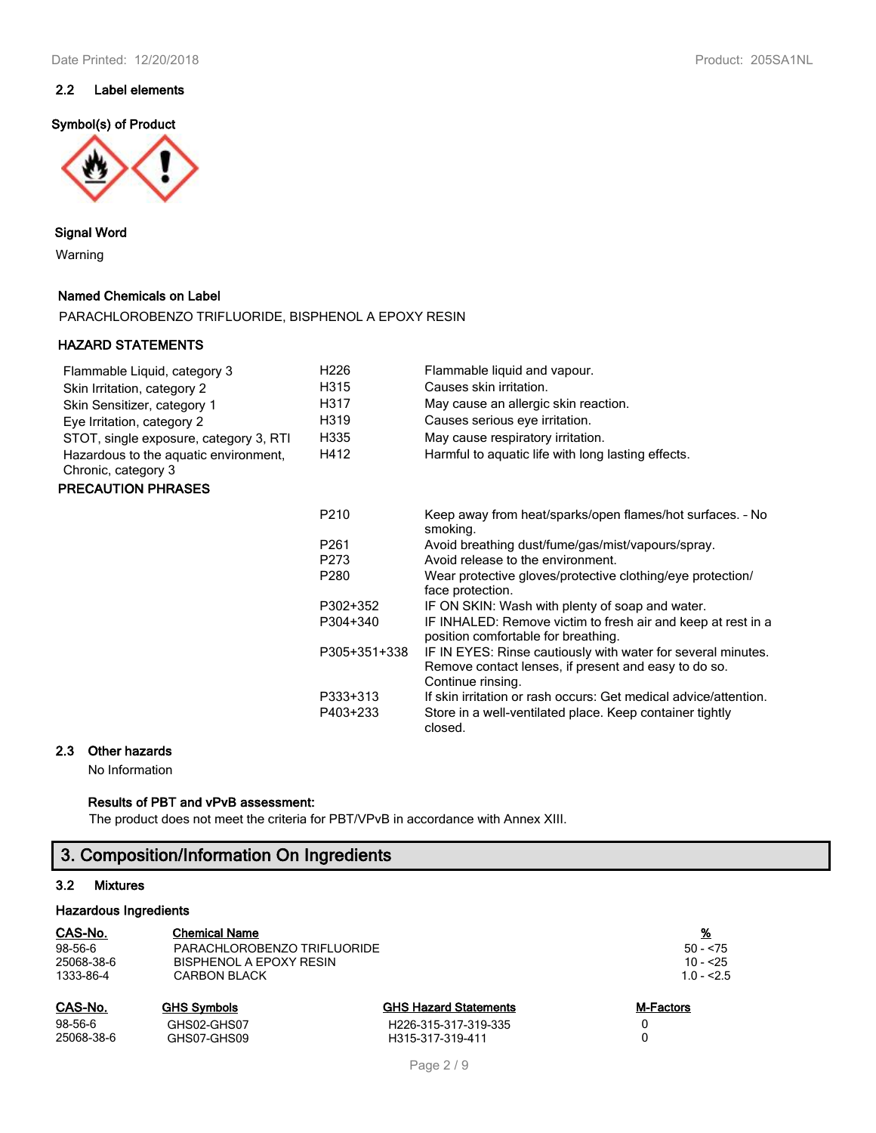# **2.2 Label elements**

## **Symbol(s) of Product**



## **Signal Word**

Warning

## **Named Chemicals on Label**

PARACHLOROBENZO TRIFLUORIDE, BISPHENOL A EPOXY RESIN

## **HAZARD STATEMENTS**

| Flammable Liquid, category 3                                 | H226             | Flammable liquid and vapour.                                                                                                              |
|--------------------------------------------------------------|------------------|-------------------------------------------------------------------------------------------------------------------------------------------|
| Skin Irritation, category 2                                  | H315             | Causes skin irritation.                                                                                                                   |
| Skin Sensitizer, category 1                                  | H317             | May cause an allergic skin reaction.                                                                                                      |
| Eye Irritation, category 2                                   | H319             | Causes serious eye irritation.                                                                                                            |
| STOT, single exposure, category 3, RTI                       | H335             | May cause respiratory irritation.                                                                                                         |
| Hazardous to the aquatic environment,<br>Chronic, category 3 | H412             | Harmful to aquatic life with long lasting effects.                                                                                        |
| <b>PRECAUTION PHRASES</b>                                    |                  |                                                                                                                                           |
|                                                              | P <sub>210</sub> | Keep away from heat/sparks/open flames/hot surfaces. - No<br>smoking.                                                                     |
|                                                              | P <sub>261</sub> | Avoid breathing dust/fume/gas/mist/vapours/spray.                                                                                         |
|                                                              | P273             | Avoid release to the environment.                                                                                                         |
|                                                              | P280             | Wear protective gloves/protective clothing/eye protection/<br>face protection.                                                            |
|                                                              | P302+352         | IF ON SKIN: Wash with plenty of soap and water.                                                                                           |
|                                                              | P304+340         | IF INHALED: Remove victim to fresh air and keep at rest in a<br>position comfortable for breathing.                                       |
|                                                              | P305+351+338     | IF IN EYES: Rinse cautiously with water for several minutes.<br>Remove contact lenses, if present and easy to do so.<br>Continue rinsing. |
|                                                              | P333+313         | If skin irritation or rash occurs: Get medical advice/attention.                                                                          |
|                                                              | P403+233         | Store in a well-ventilated place. Keep container tightly                                                                                  |

closed.

## **2.3 Other hazards**

No Information

## **Results of PBT and vPvB assessment:**

The product does not meet the criteria for PBT/VPvB in accordance with Annex XIII.

# **3. Composition/Information On Ingredients**

# **3.2 Mixtures**

### **Hazardous Ingredients**

| CAS-No.    | <b>Chemical Name</b>        |                              | <u>%</u>    |
|------------|-----------------------------|------------------------------|-------------|
| 98-56-6    | PARACHLOROBENZO TRIFLUORIDE |                              | $50 - 75$   |
| 25068-38-6 | BISPHENOL A EPOXY RESIN     |                              | $10 - 5.25$ |
| 1333-86-4  | <b>CARBON BLACK</b>         |                              | $1.0 - 5.5$ |
| CAS-No.    | <b>GHS Symbols</b>          | <b>GHS Hazard Statements</b> | M-Factors   |
| 98-56-6    | GHS02-GHS07                 | H226-315-317-319-335         | 0           |
| 25068-38-6 | GHS07-GHS09                 | H315-317-319-411             | 0           |
|            |                             |                              |             |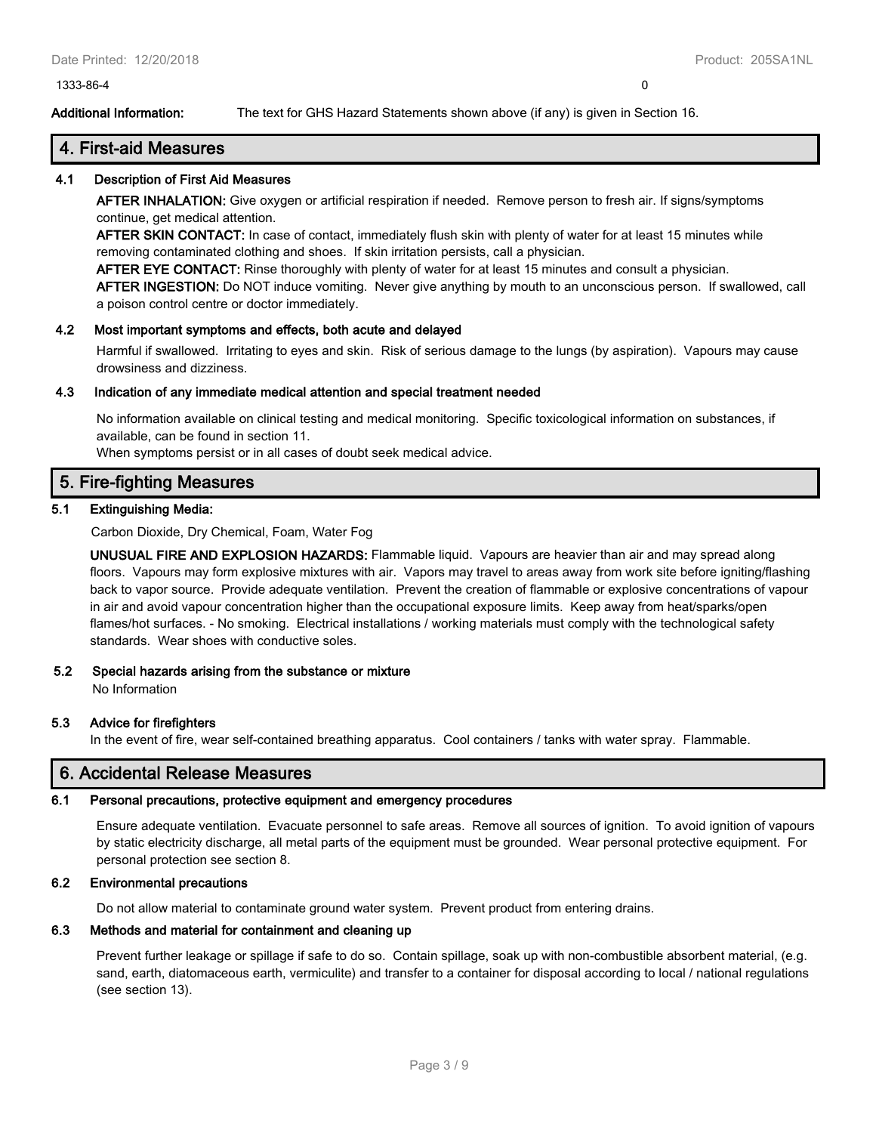1333-86-4 0

**Additional Information:** The text for GHS Hazard Statements shown above (if any) is given in Section 16.

# **4. First-aid Measures**

## **4.1 Description of First Aid Measures**

**AFTER INHALATION:** Give oxygen or artificial respiration if needed. Remove person to fresh air. If signs/symptoms continue, get medical attention.

**AFTER SKIN CONTACT:** In case of contact, immediately flush skin with plenty of water for at least 15 minutes while removing contaminated clothing and shoes. If skin irritation persists, call a physician.

**AFTER EYE CONTACT:** Rinse thoroughly with plenty of water for at least 15 minutes and consult a physician.

**AFTER INGESTION:** Do NOT induce vomiting. Never give anything by mouth to an unconscious person. If swallowed, call a poison control centre or doctor immediately.

## **4.2 Most important symptoms and effects, both acute and delayed**

Harmful if swallowed. Irritating to eyes and skin. Risk of serious damage to the lungs (by aspiration). Vapours may cause drowsiness and dizziness.

## **4.3 Indication of any immediate medical attention and special treatment needed**

No information available on clinical testing and medical monitoring. Specific toxicological information on substances, if available, can be found in section 11.

When symptoms persist or in all cases of doubt seek medical advice.

# **5. Fire-fighting Measures**

## **5.1 Extinguishing Media:**

Carbon Dioxide, Dry Chemical, Foam, Water Fog

**UNUSUAL FIRE AND EXPLOSION HAZARDS:** Flammable liquid. Vapours are heavier than air and may spread along floors. Vapours may form explosive mixtures with air. Vapors may travel to areas away from work site before igniting/flashing back to vapor source. Provide adequate ventilation. Prevent the creation of flammable or explosive concentrations of vapour in air and avoid vapour concentration higher than the occupational exposure limits. Keep away from heat/sparks/open flames/hot surfaces. - No smoking. Electrical installations / working materials must comply with the technological safety standards. Wear shoes with conductive soles.

## **5.2 Special hazards arising from the substance or mixture**

No Information

## **5.3 Advice for firefighters**

In the event of fire, wear self-contained breathing apparatus. Cool containers / tanks with water spray. Flammable.

# **6. Accidental Release Measures**

# **6.1 Personal precautions, protective equipment and emergency procedures**

Ensure adequate ventilation. Evacuate personnel to safe areas. Remove all sources of ignition. To avoid ignition of vapours by static electricity discharge, all metal parts of the equipment must be grounded. Wear personal protective equipment. For personal protection see section 8.

# **6.2 Environmental precautions**

Do not allow material to contaminate ground water system. Prevent product from entering drains.

# **6.3 Methods and material for containment and cleaning up**

Prevent further leakage or spillage if safe to do so. Contain spillage, soak up with non-combustible absorbent material, (e.g. sand, earth, diatomaceous earth, vermiculite) and transfer to a container for disposal according to local / national regulations (see section 13).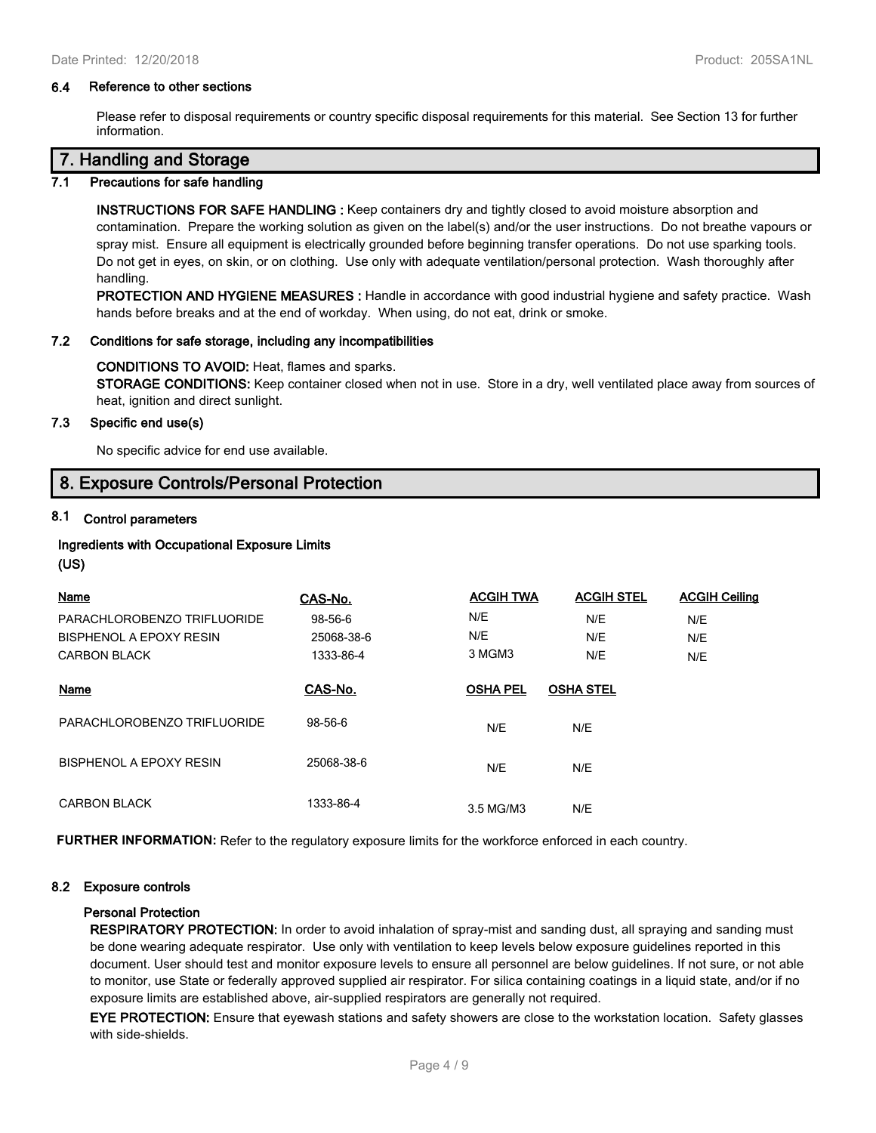#### **6.4 Reference to other sections**

Please refer to disposal requirements or country specific disposal requirements for this material. See Section 13 for further information.

## **7. Handling and Storage**

#### **7.1 Precautions for safe handling**

**INSTRUCTIONS FOR SAFE HANDLING :** Keep containers dry and tightly closed to avoid moisture absorption and contamination. Prepare the working solution as given on the label(s) and/or the user instructions. Do not breathe vapours or spray mist. Ensure all equipment is electrically grounded before beginning transfer operations. Do not use sparking tools. Do not get in eyes, on skin, or on clothing. Use only with adequate ventilation/personal protection. Wash thoroughly after handling.

**PROTECTION AND HYGIENE MEASURES :** Handle in accordance with good industrial hygiene and safety practice. Wash hands before breaks and at the end of workday. When using, do not eat, drink or smoke.

#### **7.2 Conditions for safe storage, including any incompatibilities**

#### **CONDITIONS TO AVOID:** Heat, flames and sparks.

**STORAGE CONDITIONS:** Keep container closed when not in use. Store in a dry, well ventilated place away from sources of heat, ignition and direct sunlight.

#### **7.3 Specific end use(s)**

No specific advice for end use available.

# **8. Exposure Controls/Personal Protection**

## **8.1 Control parameters**

# **Ingredients with Occupational Exposure Limits**

## **(US)**

| Name                        | CAS-No.    | <b>ACGIH TWA</b> | <b>ACGIH STEL</b> | <b>ACGIH Ceiling</b> |
|-----------------------------|------------|------------------|-------------------|----------------------|
| PARACHLOROBENZO TRIFLUORIDE | 98-56-6    | N/E              | N/E               | N/E                  |
| BISPHENOL A EPOXY RESIN     | 25068-38-6 | N/E              | N/E               | N/E                  |
| <b>CARBON BLACK</b>         | 1333-86-4  | 3 MGM3           | N/E               | N/E                  |
| Name                        | CAS-No.    | <b>OSHA PEL</b>  | <b>OSHA STEL</b>  |                      |
| PARACHLOROBENZO TRIFLUORIDE | 98-56-6    | N/E              | N/E               |                      |
| BISPHENOL A EPOXY RESIN     | 25068-38-6 | N/E              | N/E               |                      |
| <b>CARBON BLACK</b>         | 1333-86-4  | 3.5 MG/M3        | N/E               |                      |

**FURTHER INFORMATION:** Refer to the regulatory exposure limits for the workforce enforced in each country.

#### **8.2 Exposure controls**

#### **Personal Protection**

**RESPIRATORY PROTECTION:** In order to avoid inhalation of spray-mist and sanding dust, all spraying and sanding must be done wearing adequate respirator. Use only with ventilation to keep levels below exposure guidelines reported in this document. User should test and monitor exposure levels to ensure all personnel are below guidelines. If not sure, or not able to monitor, use State or federally approved supplied air respirator. For silica containing coatings in a liquid state, and/or if no exposure limits are established above, air-supplied respirators are generally not required.

**EYE PROTECTION:** Ensure that eyewash stations and safety showers are close to the workstation location. Safety glasses with side-shields.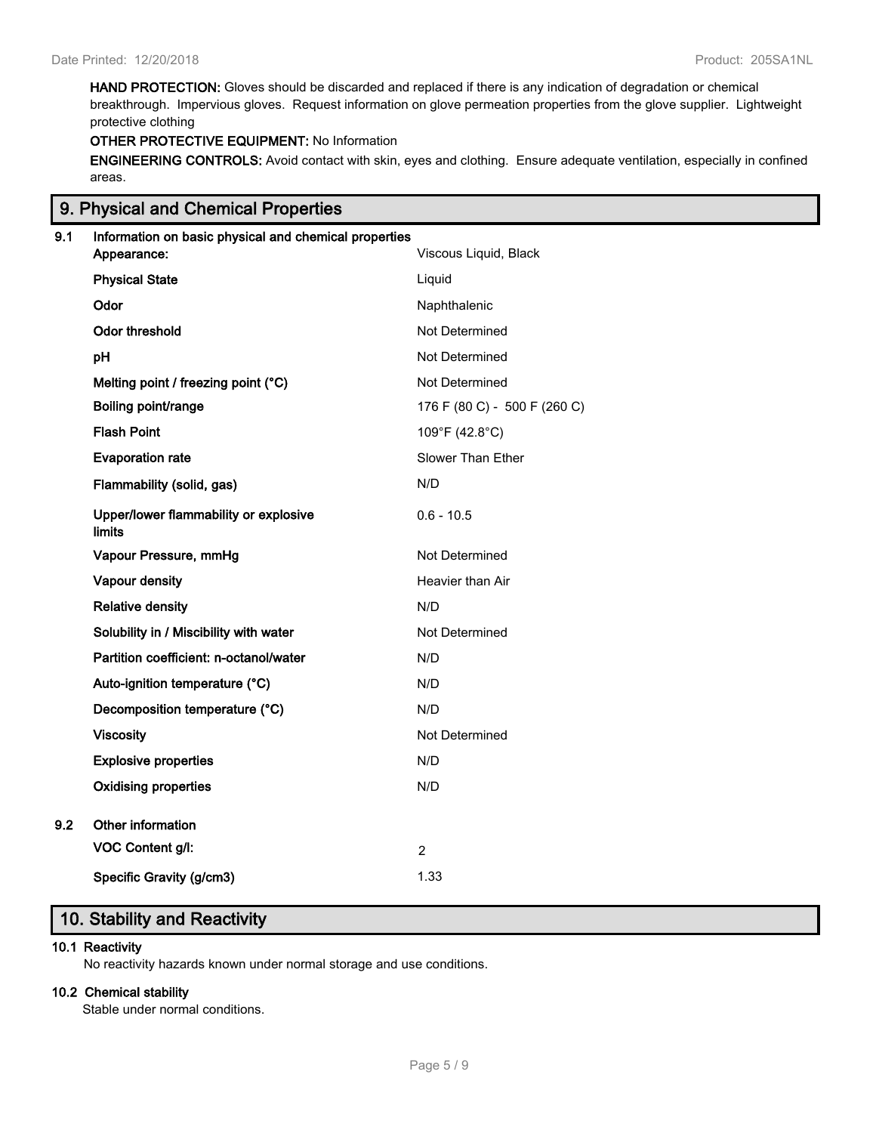**HAND PROTECTION:** Gloves should be discarded and replaced if there is any indication of degradation or chemical breakthrough. Impervious gloves. Request information on glove permeation properties from the glove supplier. Lightweight protective clothing

# **OTHER PROTECTIVE EQUIPMENT:** No Information

**ENGINEERING CONTROLS:** Avoid contact with skin, eyes and clothing. Ensure adequate ventilation, especially in confined areas.

# **9. Physical and Chemical Properties**

| 9.1 | Information on basic physical and chemical properties |                              |
|-----|-------------------------------------------------------|------------------------------|
|     | Appearance:                                           | Viscous Liquid, Black        |
|     | <b>Physical State</b>                                 | Liquid                       |
|     | Odor                                                  | Naphthalenic                 |
|     | <b>Odor threshold</b>                                 | Not Determined               |
|     | pH                                                    | Not Determined               |
|     | Melting point / freezing point (°C)                   | Not Determined               |
|     | Boiling point/range                                   | 176 F (80 C) - 500 F (260 C) |
|     | <b>Flash Point</b>                                    | 109°F (42.8°C)               |
|     | <b>Evaporation rate</b>                               | Slower Than Ether            |
|     | Flammability (solid, gas)                             | N/D                          |
|     | Upper/lower flammability or explosive<br>limits       | $0.6 - 10.5$                 |
|     | Vapour Pressure, mmHg                                 | Not Determined               |
|     | Vapour density                                        | Heavier than Air             |
|     | <b>Relative density</b>                               | N/D                          |
|     | Solubility in / Miscibility with water                | Not Determined               |
|     | Partition coefficient: n-octanol/water                | N/D                          |
|     | Auto-ignition temperature (°C)                        | N/D                          |
|     | Decomposition temperature (°C)                        | N/D                          |
|     | <b>Viscosity</b>                                      | Not Determined               |
|     | <b>Explosive properties</b>                           | N/D                          |
|     | <b>Oxidising properties</b>                           | N/D                          |
| 9.2 | Other information                                     |                              |
|     | VOC Content g/l:                                      | $\overline{2}$               |
|     | Specific Gravity (g/cm3)                              | 1.33                         |

# **10. Stability and Reactivity**

## **10.1 Reactivity**

No reactivity hazards known under normal storage and use conditions.

## **10.2 Chemical stability**

Stable under normal conditions.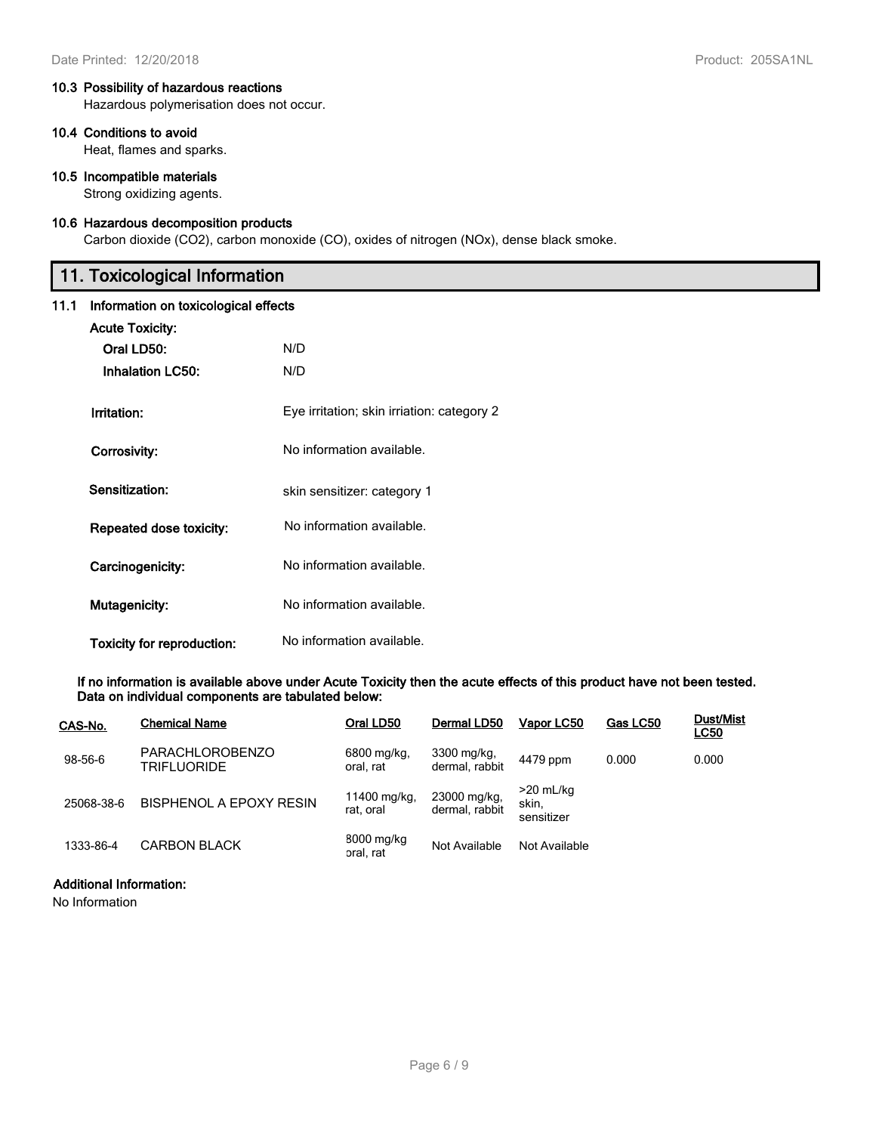Hazardous polymerisation does not occur.

## **10.4 Conditions to avoid**

Heat, flames and sparks.

#### **10.5 Incompatible materials**

Strong oxidizing agents.

## **10.6 Hazardous decomposition products**

Carbon dioxide (CO2), carbon monoxide (CO), oxides of nitrogen (NOx), dense black smoke.

# **11. Toxicological Information**

## **11.1 Information on toxicological effects**

| <b>Acute Toxicity:</b><br>Oral LD50:<br><b>Inhalation LC50:</b> | N/D<br>N/D                                 |
|-----------------------------------------------------------------|--------------------------------------------|
| Irritation:                                                     | Eye irritation; skin irriation: category 2 |
| Corrosivity:                                                    | No information available.                  |
| Sensitization:                                                  | skin sensitizer: category 1                |
| Repeated dose toxicity:                                         | No information available.                  |
| Carcinogenicity:                                                | No information available.                  |
| <b>Mutagenicity:</b>                                            | No information available.                  |
| Toxicity for reproduction:                                      | No information available.                  |

**If no information is available above under Acute Toxicity then the acute effects of this product have not been tested. Data on individual components are tabulated below:**

| CAS-No.    | <b>Chemical Name</b>                         | Oral LD50                 | Dermal LD50                    | Vapor LC50                         | Gas LC50 | <b>Dust/Mist</b><br><u>LC50</u> |
|------------|----------------------------------------------|---------------------------|--------------------------------|------------------------------------|----------|---------------------------------|
| 98-56-6    | <b>PARACHLOROBENZO</b><br><b>TRIFLUORIDE</b> | 6800 mg/kg.<br>oral, rat  | 3300 mg/kg,<br>dermal, rabbit  | 4479 ppm                           | 0.000    | 0.000                           |
| 25068-38-6 | <b>BISPHENOL A EPOXY RESIN</b>               | 11400 mg/kg,<br>rat. oral | 23000 mg/kg,<br>dermal, rabbit | $>20$ mL/kg<br>skin,<br>sensitizer |          |                                 |
| 1333-86-4  | <b>CARBON BLACK</b>                          | 8000 mg/kg<br>oral, rat   | Not Available                  | Not Available                      |          |                                 |

## **Additional Information:**

No Information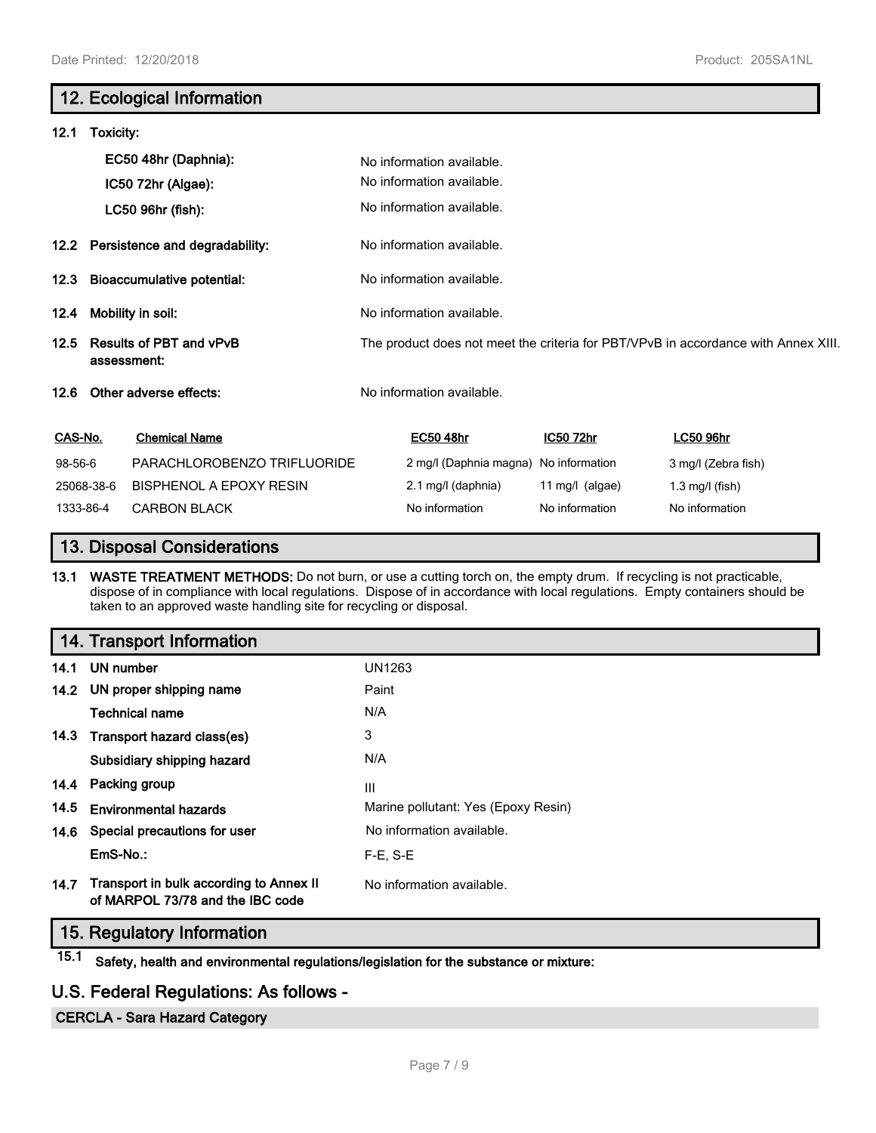# **12. Ecological Information 12.1 Toxicity: EC50 48hr (Daphnia):** No information available. No information available. **IC50 72hr (Algae):** LC50 96hr (fish): No information available. **12.2 Persistence and degradability:** No information available. **12.3 Bioaccumulative potential:** No information available. **12.4 Mobility in soil:** No information available. **12.5 Results of PBT and vPvB assessment:** The product does not meet the criteria for PBT/VPvB in accordance with Annex XIII. **12.6 Other adverse effects:** No information available. **CAS-No. Chemical Name EC50 48hr IC50 72hr LC50 96hr** 98-56-6 PARACHLOROBENZO TRIFLUORIDE 2 mg/l (Daphnia magna) No information 3 mg/l (Zebra fish) 25068-38-6 BISPHENOL A EPOXY RESIN 2.1 mg/l (daphnia) 11 mg/l (algae) 1.3 mg/l (fish) 1333-86-4 CARBON BLACK No information No information No information No information

# **13. Disposal Considerations**

**13.1 WASTE TREATMENT METHODS:** Do not burn, or use a cutting torch on, the empty drum. If recycling is not practicable, dispose of in compliance with local regulations. Dispose of in accordance with local regulations. Empty containers should be taken to an approved waste handling site for recycling or disposal.

|      | 14. Transport Information                                                   |                                     |
|------|-----------------------------------------------------------------------------|-------------------------------------|
|      | 14.1 UN number                                                              | UN1263                              |
|      | 14.2 UN proper shipping name                                                | Paint                               |
|      | <b>Technical name</b>                                                       | N/A                                 |
|      | 14.3 Transport hazard class(es)                                             | 3                                   |
|      | Subsidiary shipping hazard                                                  | N/A                                 |
|      | 14.4 Packing group                                                          | III                                 |
| 14.5 | <b>Environmental hazards</b>                                                | Marine pollutant: Yes (Epoxy Resin) |
|      | 14.6 Special precautions for user                                           | No information available.           |
|      | EmS-No.:                                                                    | $F-E. S-E$                          |
| 14.7 | Transport in bulk according to Annex II<br>of MARPOL 73/78 and the IBC code | No information available.           |

# **15. Regulatory Information**

**15.1 Safety, health and environmental regulations/legislation for the substance or mixture:**

# **U.S. Federal Regulations: As follows -**

## **CERCLA - Sara Hazard Category**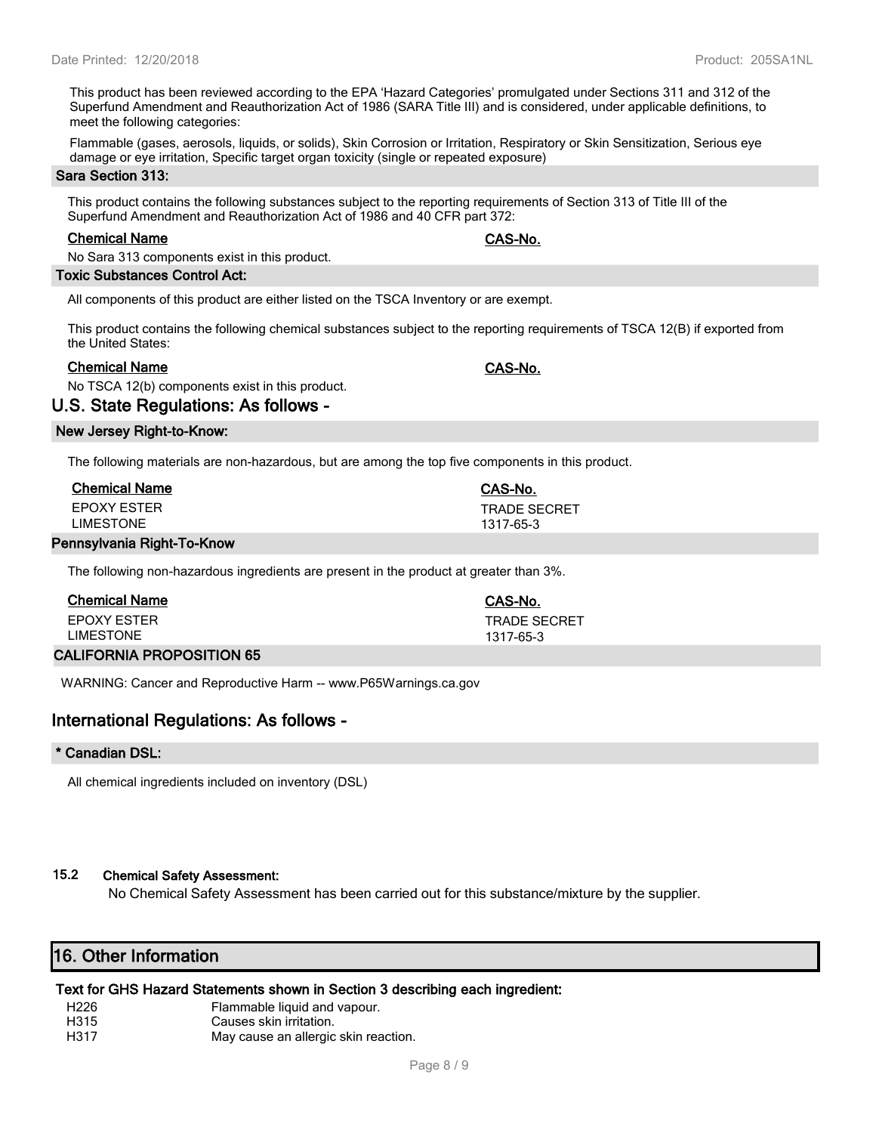This product has been reviewed according to the EPA 'Hazard Categories' promulgated under Sections 311 and 312 of the Superfund Amendment and Reauthorization Act of 1986 (SARA Title III) and is considered, under applicable definitions, to meet the following categories:

Flammable (gases, aerosols, liquids, or solids), Skin Corrosion or Irritation, Respiratory or Skin Sensitization, Serious eye damage or eye irritation, Specific target organ toxicity (single or repeated exposure)

#### **Sara Section 313:**

This product contains the following substances subject to the reporting requirements of Section 313 of Title III of the Superfund Amendment and Reauthorization Act of 1986 and 40 CFR part 372:

#### **Chemical Name CAS-No.**

No Sara 313 components exist in this product.

## **Toxic Substances Control Act:**

All components of this product are either listed on the TSCA Inventory or are exempt.

This product contains the following chemical substances subject to the reporting requirements of TSCA 12(B) if exported from the United States:

## **Chemical Name CAS-No.**

No TSCA 12(b) components exist in this product.

**U.S. State Regulations: As follows -**

## **New Jersey Right-to-Know:**

The following materials are non-hazardous, but are among the top five components in this product.

| <b>Chemical Name</b> | CAS-No.             |
|----------------------|---------------------|
| EPOXY ESTER          | <b>TRADE SECRET</b> |
| LIMESTONE            | 1317-65-3           |
| Dieht Te Kaeus       |                     |

#### **Pennsylvania Right-To-Know**

The following non-hazardous ingredients are present in the product at greater than 3%.

| Chemical Name            | CAS-No.             |
|--------------------------|---------------------|
| EPOXY ESTER              | <b>TRADE SECRET</b> |
| LIMESTONE                | 1317-65-3           |
| ALIEODNIA DDODOCITION CE |                     |

## **CALIFORNIA PROPOSITION 65**

WARNING: Cancer and Reproductive Harm -- www.P65Warnings.ca.gov

# **International Regulations: As follows -**

## **\* Canadian DSL:**

All chemical ingredients included on inventory (DSL)

# **15.2 Chemical Safety Assessment:**

No Chemical Safety Assessment has been carried out for this substance/mixture by the supplier.

# **16. Other Information**

# **Text for GHS Hazard Statements shown in Section 3 describing each ingredient:**

- H226 Flammable liquid and vapour.
- H315 Causes skin irritation.
- H317 May cause an allergic skin reaction.